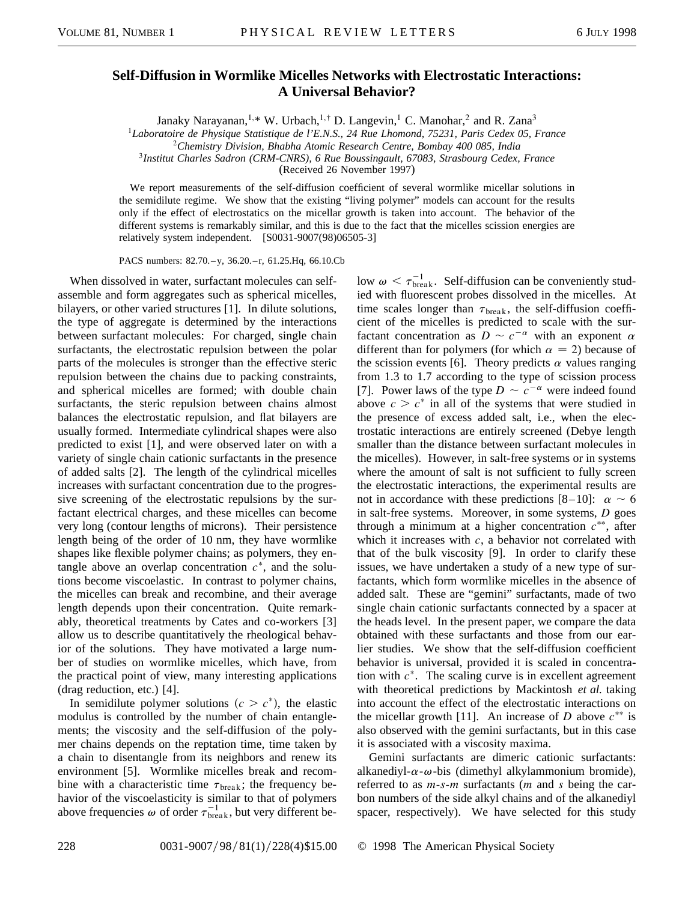## **Self-Diffusion in Wormlike Micelles Networks with Electrostatic Interactions: A Universal Behavior?**

Janaky Narayanan,<sup>1,\*</sup> W. Urbach,<sup>1,†</sup> D. Langevin,<sup>1</sup> C. Manohar,<sup>2</sup> and R. Zana<sup>3</sup>

<sup>1</sup>*Laboratoire de Physique Statistique de l'E.N.S., 24 Rue Lhomond, 75231, Paris Cedex 05, France*

<sup>2</sup>*Chemistry Division, Bhabha Atomic Research Centre, Bombay 400 085, India*

<sup>3</sup>*Institut Charles Sadron (CRM-CNRS), 6 Rue Boussingault, 67083, Strasbourg Cedex, France*

(Received 26 November 1997)

We report measurements of the self-diffusion coefficient of several wormlike micellar solutions in the semidilute regime. We show that the existing "living polymer" models can account for the results only if the effect of electrostatics on the micellar growth is taken into account. The behavior of the different systems is remarkably similar, and this is due to the fact that the micelles scission energies are relatively system independent. [S0031-9007(98)06505-3]

PACS numbers: 82.70. - y, 36.20. - r, 61.25. Hq, 66.10. Cb

When dissolved in water, surfactant molecules can selfassemble and form aggregates such as spherical micelles, bilayers, or other varied structures [1]. In dilute solutions, the type of aggregate is determined by the interactions between surfactant molecules: For charged, single chain surfactants, the electrostatic repulsion between the polar parts of the molecules is stronger than the effective steric repulsion between the chains due to packing constraints, and spherical micelles are formed; with double chain surfactants, the steric repulsion between chains almost balances the electrostatic repulsion, and flat bilayers are usually formed. Intermediate cylindrical shapes were also predicted to exist [1], and were observed later on with a variety of single chain cationic surfactants in the presence of added salts [2]. The length of the cylindrical micelles increases with surfactant concentration due to the progressive screening of the electrostatic repulsions by the surfactant electrical charges, and these micelles can become very long (contour lengths of microns). Their persistence length being of the order of 10 nm, they have wormlike shapes like flexible polymer chains; as polymers, they entangle above an overlap concentration  $c^*$ , and the solutions become viscoelastic. In contrast to polymer chains, the micelles can break and recombine, and their average length depends upon their concentration. Quite remarkably, theoretical treatments by Cates and co-workers [3] allow us to describe quantitatively the rheological behavior of the solutions. They have motivated a large number of studies on wormlike micelles, which have, from the practical point of view, many interesting applications (drag reduction, etc.) [4].

In semidilute polymer solutions  $(c > c^*)$ , the elastic modulus is controlled by the number of chain entanglements; the viscosity and the self-diffusion of the polymer chains depends on the reptation time, time taken by a chain to disentangle from its neighbors and renew its environment [5]. Wormlike micelles break and recombine with a characteristic time  $\tau_{break}$ ; the frequency behavior of the viscoelasticity is similar to that of polymers above frequencies  $\omega$  of order  $\tau_{\text{break}}^{-1}$ , but very different be-

low  $\omega < \tau_{\text{break}}^{-1}$ . Self-diffusion can be conveniently studied with fluorescent probes dissolved in the micelles. At time scales longer than  $\tau_{break}$ , the self-diffusion coefficient of the micelles is predicted to scale with the surfactant concentration as  $D \sim c^{-\alpha}$  with an exponent  $\alpha$ different than for polymers (for which  $\alpha = 2$ ) because of the scission events [6]. Theory predicts  $\alpha$  values ranging from 1.3 to 1.7 according to the type of scission process [7]. Power laws of the type  $D \sim c^{-\alpha}$  were indeed found above  $c > c^*$  in all of the systems that were studied in the presence of excess added salt, i.e., when the electrostatic interactions are entirely screened (Debye length smaller than the distance between surfactant molecules in the micelles). However, in salt-free systems or in systems where the amount of salt is not sufficient to fully screen the electrostatic interactions, the experimental results are not in accordance with these predictions [8–10]:  $\alpha \sim 6$ in salt-free systems. Moreover, in some systems, *D* goes through a minimum at a higher concentration  $c^{**}$ , after which it increases with  $c$ , a behavior not correlated with that of the bulk viscosity [9]. In order to clarify these issues, we have undertaken a study of a new type of surfactants, which form wormlike micelles in the absence of added salt. These are "gemini" surfactants, made of two single chain cationic surfactants connected by a spacer at the heads level. In the present paper, we compare the data obtained with these surfactants and those from our earlier studies. We show that the self-diffusion coefficient behavior is universal, provided it is scaled in concentration with  $c^*$ . The scaling curve is in excellent agreement with theoretical predictions by Mackintosh *et al.* taking into account the effect of the electrostatic interactions on the micellar growth [11]. An increase of *D* above  $c^{**}$  is also observed with the gemini surfactants, but in this case it is associated with a viscosity maxima.

Gemini surfactants are dimeric cationic surfactants: alkanediyl- $\alpha$ - $\omega$ -bis (dimethyl alkylammonium bromide), referred to as *m*-*s*-*m* surfactants (*m* and *s* being the carbon numbers of the side alkyl chains and of the alkanediyl spacer, respectively). We have selected for this study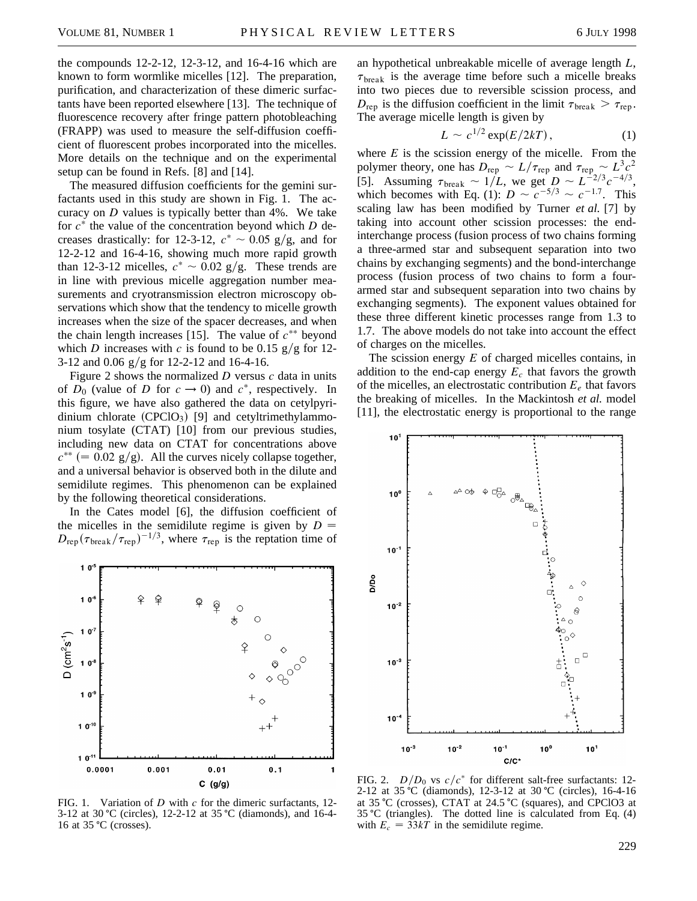the compounds 12-2-12, 12-3-12, and 16-4-16 which are known to form wormlike micelles [12]. The preparation, purification, and characterization of these dimeric surfactants have been reported elsewhere [13]. The technique of fluorescence recovery after fringe pattern photobleaching (FRAPP) was used to measure the self-diffusion coefficient of fluorescent probes incorporated into the micelles. More details on the technique and on the experimental setup can be found in Refs. [8] and [14].

The measured diffusion coefficients for the gemini surfactants used in this study are shown in Fig. 1. The accuracy on *D* values is typically better than 4%. We take for  $c^*$  the value of the concentration beyond which *D* decreases drastically: for 12-3-12,  $c^* \sim 0.05$  g/g, and for 12-2-12 and 16-4-16, showing much more rapid growth than 12-3-12 micelles,  $c^* \sim 0.02$  g/g. These trends are in line with previous micelle aggregation number measurements and cryotransmission electron microscopy observations which show that the tendency to micelle growth increases when the size of the spacer decreases, and when the chain length increases [15]. The value of  $c^{**}$  beyond which *D* increases with *c* is found to be 0.15  $g/g$  for 12-3-12 and  $0.06$  g/g for 12-2-12 and 16-4-16.

Figure 2 shows the normalized *D* versus *c* data in units of  $D_0$  (value of *D* for  $c \rightarrow 0$ ) and  $c^*$ , respectively. In this figure, we have also gathered the data on cetylpyridinium chlorate  $(CPCIO_3)$  [9] and cetyltrimethylammonium tosylate (CTAT) [10] from our previous studies, including new data on CTAT for concentrations above  $c^{**}$  (= 0.02 g/g). All the curves nicely collapse together, and a universal behavior is observed both in the dilute and semidilute regimes. This phenomenon can be explained by the following theoretical considerations.

In the Cates model [6], the diffusion coefficient of the micelles in the semidilute regime is given by  $D =$  $D_{\rm rep}({\tau_{\rm break}}/{\tau_{\rm rep}})^{-1/3}$ , where  $\tau_{\rm rep}$  is the reptation time of



FIG. 1. Variation of *D* with *c* for the dimeric surfactants, 12- 3-12 at 30 °C (circles), 12-2-12 at 35 °C (diamonds), and 16-4-16 at  $35 \text{ °C}$  (crosses).

an hypothetical unbreakable micelle of average length *L*,  $\tau_{\text{break}}$  is the average time before such a micelle breaks into two pieces due to reversible scission process, and  $D_{\text{rep}}$  is the diffusion coefficient in the limit  $\tau_{\text{break}} > \tau_{\text{rep}}$ . The average micelle length is given by

$$
L \sim c^{1/2} \exp(E/2kT), \qquad (1)
$$

where  $E$  is the scission energy of the micelle. From the polymer theory, one has  $D_{\text{rep}} \sim L/\tau_{\text{rep}}$  and  $\tau_{\text{rep}} \sim L^3 c^2$ [5]. Assuming  $\tau_{\text{break}} \sim 1/L$ , we get  $D \sim L^{-2/3}c^{-4/3}$ , which becomes with Eq. (1):  $D \sim c^{-5/3} \sim c^{-1.7}$ . This scaling law has been modified by Turner *et al.* [7] by taking into account other scission processes: the endinterchange process (fusion process of two chains forming a three-armed star and subsequent separation into two chains by exchanging segments) and the bond-interchange process (fusion process of two chains to form a fourarmed star and subsequent separation into two chains by exchanging segments). The exponent values obtained for these three different kinetic processes range from 1.3 to 1.7. The above models do not take into account the effect of charges on the micelles.

The scission energy *E* of charged micelles contains, in addition to the end-cap energy *Ec* that favors the growth of the micelles, an electrostatic contribution  $E_e$  that favors the breaking of micelles. In the Mackintosh *et al.* model [11], the electrostatic energy is proportional to the range



FIG. 2. *D*/*D*<sub>0</sub> vs *c*/*c*<sup>\*</sup> for different salt-free surfactants: 12-2-12 at 35 °C (diamonds), 12-3-12 at 30 °C (circles), 16-4-16 at 35  $^{\circ}$ C (crosses), CTAT at 24.5  $^{\circ}$ C (squares), and CPClO3 at  $35 \text{ °C}$  (triangles). The dotted line is calculated from Eq. (4) with  $E_c = 33kT$  in the semidilute regime.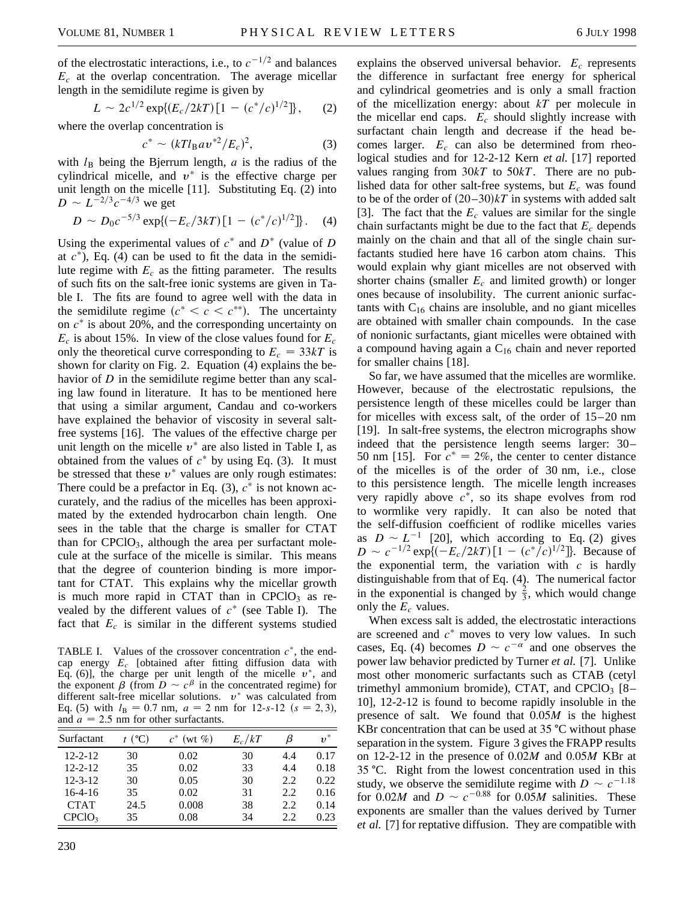of the electrostatic interactions, i.e., to  $c^{-1/2}$  and balances  $E_c$  at the overlap concentration. The average micellar length in the semidilute regime is given by

$$
L \sim 2c^{1/2} \exp\{(E_c/2kT)\left[1 - (c^*/c)^{1/2}\right]\},\qquad(2)
$$

where the overlap concentration is

$$
c^* \sim (kTl_B a v^{*2}/E_c)^2,
$$
 (3)

with  $l_B$  being the Bjerrum length,  $a$  is the radius of the cylindrical micelle, and  $v^*$  is the effective charge per unit length on the micelle [11]. Substituting Eq. (2) into  $D \sim L^{-2/3}c^{-4/3}$  we get

$$
D \sim D_0 c^{-5/3} \exp\{(-E_c/3kT)[1-(c^*/c)^{1/2}]\}.
$$
 (4)

Using the experimental values of  $c^*$  and  $D^*$  (value of *D* at  $c^*$ ), Eq. (4) can be used to fit the data in the semidilute regime with  $E_c$  as the fitting parameter. The results of such fits on the salt-free ionic systems are given in Table I. The fits are found to agree well with the data in the semidilute regime  $(c^* < c < c^{**})$ . The uncertainty on  $c^*$  is about 20%, and the corresponding uncertainty on  $E_c$  is about 15%. In view of the close values found for  $E_c$ only the theoretical curve corresponding to  $E_c = 33kT$  is shown for clarity on Fig. 2. Equation (4) explains the behavior of *D* in the semidilute regime better than any scaling law found in literature. It has to be mentioned here that using a similar argument, Candau and co-workers have explained the behavior of viscosity in several saltfree systems [16]. The values of the effective charge per unit length on the micelle  $v^*$  are also listed in Table I, as obtained from the values of  $c^*$  by using Eq. (3). It must be stressed that these  $v^*$  values are only rough estimates: There could be a prefactor in Eq.  $(3)$ ,  $c^*$  is not known accurately, and the radius of the micelles has been approximated by the extended hydrocarbon chain length. One sees in the table that the charge is smaller for CTAT than for  $CPCIO<sub>3</sub>$ , although the area per surfactant molecule at the surface of the micelle is similar. This means that the degree of counterion binding is more important for CTAT. This explains why the micellar growth is much more rapid in CTAT than in CPCl $O<sub>3</sub>$  as revealed by the different values of  $c^*$  (see Table I). The fact that  $E_c$  is similar in the different systems studied

TABLE I. Values of the crossover concentration  $c^*$ , the endcap energy *Ec* [obtained after fitting diffusion data with Eq. (6)], the charge per unit length of the micelle  $v^*$ , and the exponent  $\beta$  (from  $D \sim c^{\beta}$  in the concentrated regime) for different salt-free micellar solutions.  $v^*$  was calculated from Eq. (5) with  $l_B = 0.7$  nm,  $a = 2$  nm for 12-*s*-12 ( $s = 2, 3$ ), and  $a = 2.5$  nm for other surfactants.

| Surfactant         | t (°C) | $c^*$ (wt $\%$ ) | $E_c/kT$ | β   | $v^*$ |
|--------------------|--------|------------------|----------|-----|-------|
| $12 - 2 - 12$      | 30     | 0.02             | 30       | 4.4 | 0.17  |
| $12 - 2 - 12$      | 35     | 0.02             | 33       | 4.4 | 0.18  |
| $12 - 3 - 12$      | 30     | 0.05             | 30       | 2.2 | 0.22  |
| $16-4-16$          | 35     | 0.02             | 31       | 2.2 | 0.16  |
| <b>CTAT</b>        | 24.5   | 0.008            | 38       | 2.2 | 0.14  |
| CPCIO <sub>3</sub> | 35     | 0.08             | 34       | 2.2 | 0.23  |

explains the observed universal behavior. *Ec* represents the difference in surfactant free energy for spherical and cylindrical geometries and is only a small fraction of the micellization energy: about *kT* per molecule in the micellar end caps.  $E_c$  should slightly increase with surfactant chain length and decrease if the head becomes larger.  $E_c$  can also be determined from rheological studies and for 12-2-12 Kern *et al.* [17] reported values ranging from 30*kT* to 50*kT*. There are no published data for other salt-free systems, but  $E_c$  was found to be of the order of  $(20-30)kT$  in systems with added salt [3]. The fact that the *Ec* values are similar for the single chain surfactants might be due to the fact that  $E_c$  depends mainly on the chain and that all of the single chain surfactants studied here have 16 carbon atom chains. This would explain why giant micelles are not observed with shorter chains (smaller  $E_c$  and limited growth) or longer ones because of insolubility. The current anionic surfactants with  $C_{16}$  chains are insoluble, and no giant micelles are obtained with smaller chain compounds. In the case of nonionic surfactants, giant micelles were obtained with a compound having again a  $C_{16}$  chain and never reported for smaller chains [18].

So far, we have assumed that the micelles are wormlike. However, because of the electrostatic repulsions, the persistence length of these micelles could be larger than for micelles with excess salt, of the order of 15–20 nm [19]. In salt-free systems, the electron micrographs show indeed that the persistence length seems larger: 30 – 50 nm [15]. For  $c^* = 2\%$ , the center to center distance of the micelles is of the order of 30 nm, i.e., close to this persistence length. The micelle length increases very rapidly above  $c^*$ , so its shape evolves from rod to wormlike very rapidly. It can also be noted that the self-diffusion coefficient of rodlike micelles varies as  $D \sim L^{-1}$  [20], which according to Eq. (2) gives  $D \sim c^{-1/2} \exp\{(-E_c/2kT)[1-(c^*/c)^{1/2}]\}$ . Because of the exponential term, the variation with  $c$  is hardly distinguishable from that of Eq. (4). The numerical factor in the exponential is changed by  $\frac{2}{3}$ , which would change only the  $E_c$  values.

When excess salt is added, the electrostatic interactions are screened and  $c^*$  moves to very low values. In such cases, Eq. (4) becomes  $D \sim c^{-\alpha}$  and one observes the power law behavior predicted by Turner *et al.* [7]. Unlike most other monomeric surfactants such as CTAB (cetyl trimethyl ammonium bromide), CTAT, and CPClO<sub>3</sub>  $[8-$ 10], 12-2-12 is found to become rapidly insoluble in the presence of salt. We found that 0.05*M* is the highest KBr concentration that can be used at  $35^{\circ}$ C without phase separation in the system. Figure 3 gives the FRAPP results on 12-2-12 in the presence of 0.02*M* and 0.05*M* KBr at 35 °C. Right from the lowest concentration used in this study, we observe the semidilute regime with  $D \sim c^{-1.18}$ for 0.02*M* and  $D \sim c^{-0.88}$  for 0.05*M* salinities. These exponents are smaller than the values derived by Turner *et al.* [7] for reptative diffusion. They are compatible with